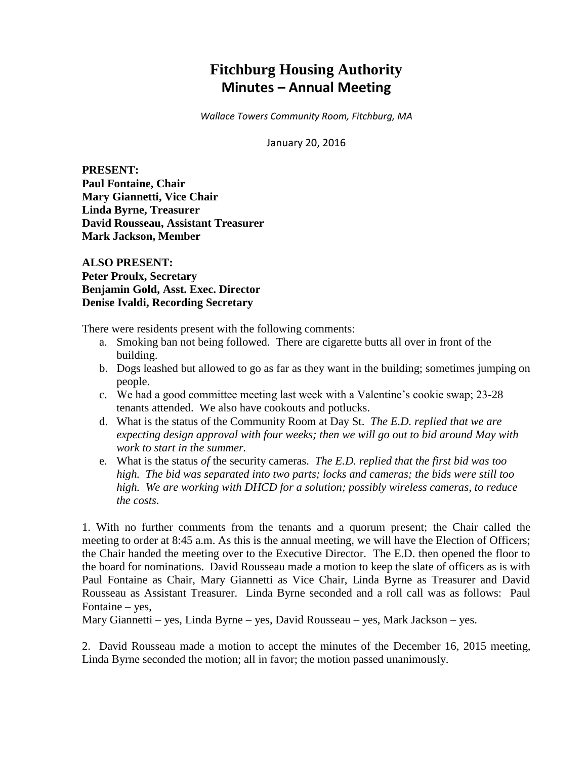# **Fitchburg Housing Authority Minutes – Annual Meeting**

*Wallace Towers Community Room, Fitchburg, MA*

January 20, 2016

**PRESENT: Paul Fontaine, Chair Mary Giannetti, Vice Chair Linda Byrne, Treasurer David Rousseau, Assistant Treasurer Mark Jackson, Member**

**ALSO PRESENT: Peter Proulx, Secretary Benjamin Gold, Asst. Exec. Director Denise Ivaldi, Recording Secretary**

There were residents present with the following comments:

- a. Smoking ban not being followed. There are cigarette butts all over in front of the building.
- b. Dogs leashed but allowed to go as far as they want in the building; sometimes jumping on people.
- c. We had a good committee meeting last week with a Valentine's cookie swap; 23-28 tenants attended. We also have cookouts and potlucks.
- d. What is the status of the Community Room at Day St. *The E.D. replied that we are expecting design approval with four weeks; then we will go out to bid around May with work to start in the summer.*
- e. What is the status *of* the security cameras. *The E.D. replied that the first bid was too high. The bid was separated into two parts; locks and cameras; the bids were still too high. We are working with DHCD for a solution; possibly wireless cameras, to reduce the costs.*

1. With no further comments from the tenants and a quorum present; the Chair called the meeting to order at 8:45 a.m. As this is the annual meeting, we will have the Election of Officers; the Chair handed the meeting over to the Executive Director. The E.D. then opened the floor to the board for nominations. David Rousseau made a motion to keep the slate of officers as is with Paul Fontaine as Chair, Mary Giannetti as Vice Chair, Linda Byrne as Treasurer and David Rousseau as Assistant Treasurer. Linda Byrne seconded and a roll call was as follows: Paul Fontaine – yes,

Mary Giannetti – yes, Linda Byrne – yes, David Rousseau – yes, Mark Jackson – yes.

2. David Rousseau made a motion to accept the minutes of the December 16, 2015 meeting, Linda Byrne seconded the motion; all in favor; the motion passed unanimously.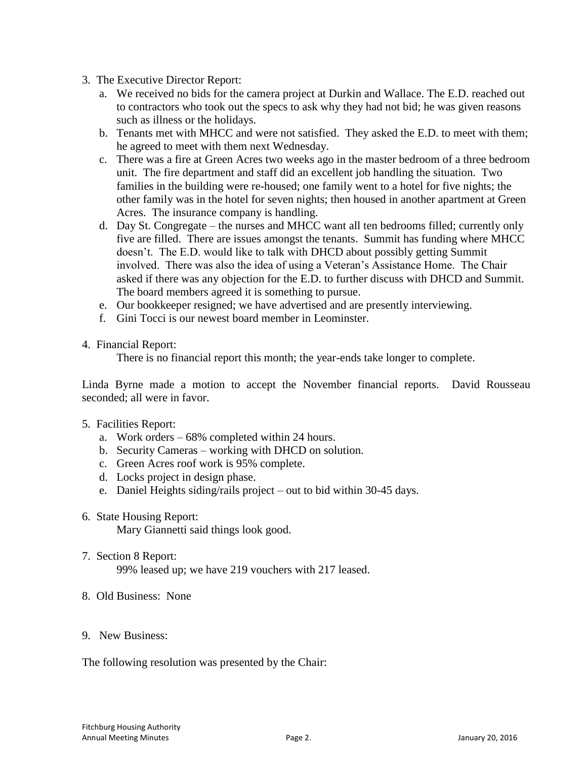- 3. The Executive Director Report:
	- a. We received no bids for the camera project at Durkin and Wallace. The E.D. reached out to contractors who took out the specs to ask why they had not bid; he was given reasons such as illness or the holidays.
	- b. Tenants met with MHCC and were not satisfied. They asked the E.D. to meet with them; he agreed to meet with them next Wednesday.
	- c. There was a fire at Green Acres two weeks ago in the master bedroom of a three bedroom unit. The fire department and staff did an excellent job handling the situation. Two families in the building were re-housed; one family went to a hotel for five nights; the other family was in the hotel for seven nights; then housed in another apartment at Green Acres. The insurance company is handling.
	- d. Day St. Congregate the nurses and MHCC want all ten bedrooms filled; currently only five are filled. There are issues amongst the tenants. Summit has funding where MHCC doesn't. The E.D. would like to talk with DHCD about possibly getting Summit involved. There was also the idea of using a Veteran's Assistance Home. The Chair asked if there was any objection for the E.D. to further discuss with DHCD and Summit. The board members agreed it is something to pursue.
	- e. Our bookkeeper resigned; we have advertised and are presently interviewing.
	- f. Gini Tocci is our newest board member in Leominster.
- 4. Financial Report:

There is no financial report this month; the year-ends take longer to complete.

Linda Byrne made a motion to accept the November financial reports. David Rousseau seconded; all were in favor.

- 5. Facilities Report:
	- a. Work orders 68% completed within 24 hours.
	- b. Security Cameras working with DHCD on solution.
	- c. Green Acres roof work is 95% complete.
	- d. Locks project in design phase.
	- e. Daniel Heights siding/rails project out to bid within 30-45 days.
- 6. State Housing Report: Mary Giannetti said things look good.
- 7. Section 8 Report: 99% leased up; we have 219 vouchers with 217 leased.
- 8. Old Business: None
- 9. New Business:

The following resolution was presented by the Chair: